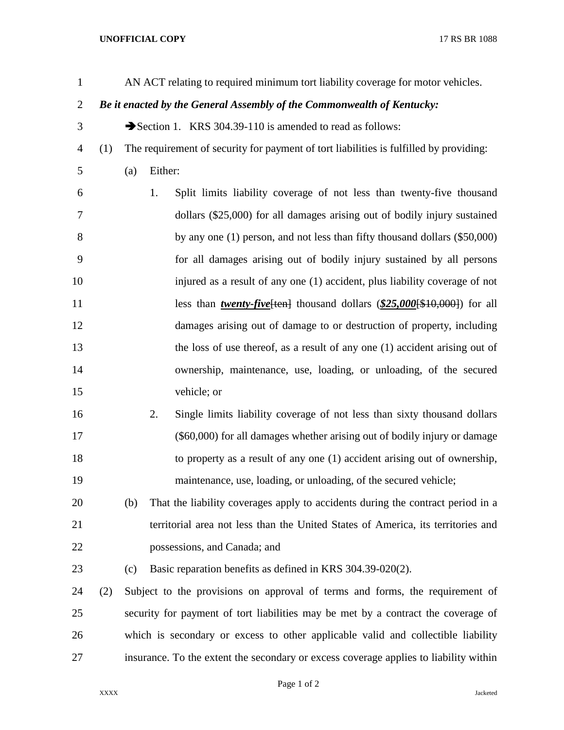## **UNOFFICIAL COPY** 17 RS BR 1088

| $\mathbf{1}$   |                                                                        | AN ACT relating to required minimum tort liability coverage for motor vehicles.        |         |                                                                                          |
|----------------|------------------------------------------------------------------------|----------------------------------------------------------------------------------------|---------|------------------------------------------------------------------------------------------|
| $\overline{2}$ | Be it enacted by the General Assembly of the Commonwealth of Kentucky: |                                                                                        |         |                                                                                          |
| 3              |                                                                        |                                                                                        |         | Section 1. KRS 304.39-110 is amended to read as follows:                                 |
| 4              | (1)                                                                    | The requirement of security for payment of tort liabilities is fulfilled by providing: |         |                                                                                          |
| 5              |                                                                        | (a)                                                                                    | Either: |                                                                                          |
| 6              |                                                                        |                                                                                        | 1.      | Split limits liability coverage of not less than twenty-five thousand                    |
| 7              |                                                                        |                                                                                        |         | dollars (\$25,000) for all damages arising out of bodily injury sustained                |
| $8\,$          |                                                                        |                                                                                        |         | by any one (1) person, and not less than fifty thousand dollars (\$50,000)               |
| 9              |                                                                        |                                                                                        |         | for all damages arising out of bodily injury sustained by all persons                    |
| 10             |                                                                        |                                                                                        |         | injured as a result of any one (1) accident, plus liability coverage of not              |
| 11             |                                                                        |                                                                                        |         | less than <i>twenty-five</i> [ten] thousand dollars $(\frac{$25,000}{\$10,000})$ for all |
| 12             |                                                                        |                                                                                        |         | damages arising out of damage to or destruction of property, including                   |
| 13             |                                                                        |                                                                                        |         | the loss of use thereof, as a result of any one (1) accident arising out of              |
| 14             |                                                                        |                                                                                        |         | ownership, maintenance, use, loading, or unloading, of the secured                       |
| 15             |                                                                        |                                                                                        |         | vehicle; or                                                                              |
| 16             |                                                                        |                                                                                        | 2.      | Single limits liability coverage of not less than sixty thousand dollars                 |
| 17             |                                                                        |                                                                                        |         | (\$60,000) for all damages whether arising out of bodily injury or damage                |
| 18             |                                                                        |                                                                                        |         | to property as a result of any one (1) accident arising out of ownership,                |
| 19             |                                                                        |                                                                                        |         | maintenance, use, loading, or unloading, of the secured vehicle;                         |
| 20             |                                                                        | (b)                                                                                    |         | That the liability coverages apply to accidents during the contract period in a          |
| 21             |                                                                        |                                                                                        |         | territorial area not less than the United States of America, its territories and         |
| 22             |                                                                        |                                                                                        |         | possessions, and Canada; and                                                             |
| 23             |                                                                        | (c)                                                                                    |         | Basic reparation benefits as defined in KRS 304.39-020(2).                               |
| 24             | (2)                                                                    | Subject to the provisions on approval of terms and forms, the requirement of           |         |                                                                                          |
| 25             |                                                                        | security for payment of tort liabilities may be met by a contract the coverage of      |         |                                                                                          |
| 26             |                                                                        | which is secondary or excess to other applicable valid and collectible liability       |         |                                                                                          |
| 27             |                                                                        | insurance. To the extent the secondary or excess coverage applies to liability within  |         |                                                                                          |